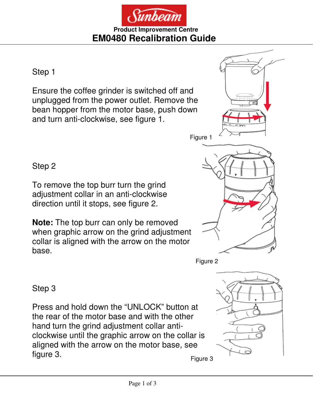

#### **Product Improvement Centre EM0480 Recalibration Guide**

Step 1

Ensure the coffee grinder is switched off and unplugged from the power outlet. Remove the bean hopper from the motor base, push down and turn anti-clockwise, see figure 1.

Step 2

To remove the top burr turn the grind adjustment collar in an anti-clockwise direction until it stops, see figure 2.

**Note:** The top burr can only be removed when graphic arrow on the grind adjustment collar is aligned with the arrow on the motor base.



Figure 2

Step 3

Press and hold down the "UNLOCK" button at the rear of the motor base and with the other hand turn the grind adjustment collar anticlockwise until the graphic arrow on the collar is aligned with the arrow on the motor base, see figure 3.



Figure 3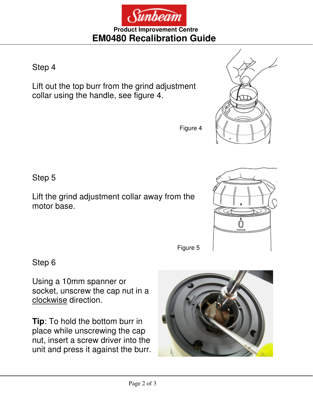Sunbeam

**Product Improvement Centre EM0480 Recalibration Guide** 

Step 4

Lift out the top burr from the grind adjustment collar using the handle, see figure 4.

Step 5

Lift the grind adjustment collar away from the motor base.

Step 6

Using a 10mm spanner or socket, unscrew the cap nut in a clockwise direction.

**Tip**: To hold the bottom burr in place while unscrewing the cap nut, insert a screw driver into the unit and press it against the burr.





Figure 5

Figure 4